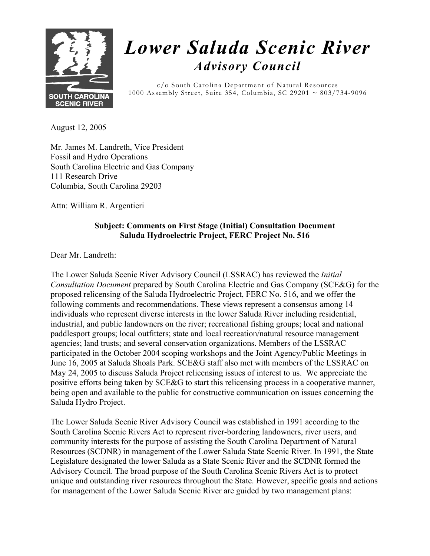

# *Lower Saluda Scenic River Advisory Council*

c/o South Carolina Department of Natural Resources 1000 Assembly Street, Suite 354, Columbia, SC 29201 ~ 803/734-9096

August 12, 2005

Mr. James M. Landreth, Vice President Fossil and Hydro Operations South Carolina Electric and Gas Company 111 Research Drive Columbia, South Carolina 29203

Attn: William R. Argentieri

## **Subject: Comments on First Stage (Initial) Consultation Document Saluda Hydroelectric Project, FERC Project No. 516**

Dear Mr. Landreth:

The Lower Saluda Scenic River Advisory Council (LSSRAC) has reviewed the *Initial Consultation Document* prepared by South Carolina Electric and Gas Company (SCE&G) for the proposed relicensing of the Saluda Hydroelectric Project, FERC No. 516, and we offer the following comments and recommendations. These views represent a consensus among 14 individuals who represent diverse interests in the lower Saluda River including residential, industrial, and public landowners on the river; recreational fishing groups; local and national paddlesport groups; local outfitters; state and local recreation/natural resource management agencies; land trusts; and several conservation organizations. Members of the LSSRAC participated in the October 2004 scoping workshops and the Joint Agency/Public Meetings in June 16, 2005 at Saluda Shoals Park. SCE&G staff also met with members of the LSSRAC on May 24, 2005 to discuss Saluda Project relicensing issues of interest to us. We appreciate the positive efforts being taken by SCE&G to start this relicensing process in a cooperative manner, being open and available to the public for constructive communication on issues concerning the Saluda Hydro Project.

The Lower Saluda Scenic River Advisory Council was established in 1991 according to the South Carolina Scenic Rivers Act to represent river-bordering landowners, river users, and community interests for the purpose of assisting the South Carolina Department of Natural Resources (SCDNR) in management of the Lower Saluda State Scenic River. In 1991, the State Legislature designated the lower Saluda as a State Scenic River and the SCDNR formed the Advisory Council. The broad purpose of the South Carolina Scenic Rivers Act is to protect unique and outstanding river resources throughout the State. However, specific goals and actions for management of the Lower Saluda Scenic River are guided by two management plans: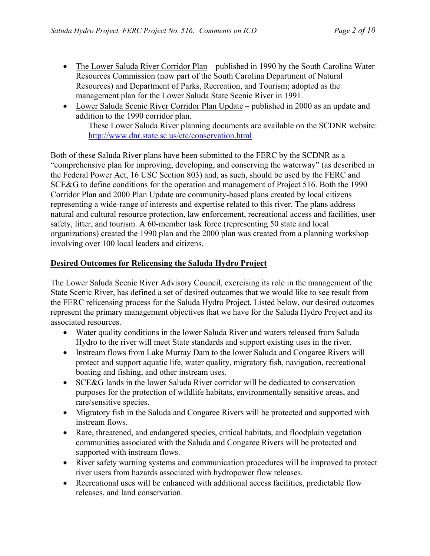- The Lower Saluda River Corridor Plan published in 1990 by the South Carolina Water Resources Commission (now part of the South Carolina Department of Natural Resources) and Department of Parks, Recreation, and Tourism; adopted as the management plan for the Lower Saluda State Scenic River in 1991.
- Lower Saluda Scenic River Corridor Plan Update published in 2000 as an update and addition to the 1990 corridor plan.

These Lower Saluda River planning documents are available on the SCDNR website: http://www.dnr.state.sc.us/etc/conservation.html

Both of these Saluda River plans have been submitted to the FERC by the SCDNR as a "comprehensive plan for improving, developing, and conserving the waterway" (as described in the Federal Power Act, 16 USC Section 803) and, as such, should be used by the FERC and SCE&G to define conditions for the operation and management of Project 516. Both the 1990 Corridor Plan and 2000 Plan Update are community-based plans created by local citizens representing a wide-range of interests and expertise related to this river. The plans address natural and cultural resource protection, law enforcement, recreational access and facilities, user safety, litter, and tourism. A 60-member task force (representing 50 state and local organizations) created the 1990 plan and the 2000 plan was created from a planning workshop involving over 100 local leaders and citizens.

# **Desired Outcomes for Relicensing the Saluda Hydro Project**

The Lower Saluda Scenic River Advisory Council, exercising its role in the management of the State Scenic River, has defined a set of desired outcomes that we would like to see result from the FERC relicensing process for the Saluda Hydro Project. Listed below, our desired outcomes represent the primary management objectives that we have for the Saluda Hydro Project and its associated resources.

- Water quality conditions in the lower Saluda River and waters released from Saluda Hydro to the river will meet State standards and support existing uses in the river.
- Instream flows from Lake Murray Dam to the lower Saluda and Congaree Rivers will protect and support aquatic life, water quality, migratory fish, navigation, recreational boating and fishing, and other instream uses.
- SCE&G lands in the lower Saluda River corridor will be dedicated to conservation purposes for the protection of wildlife habitats, environmentally sensitive areas, and rare/sensitive species.
- Migratory fish in the Saluda and Congaree Rivers will be protected and supported with instream flows.
- Rare, threatened, and endangered species, critical habitats, and floodplain vegetation communities associated with the Saluda and Congaree Rivers will be protected and supported with instream flows.
- River safety warning systems and communication procedures will be improved to protect river users from hazards associated with hydropower flow releases.
- Recreational uses will be enhanced with additional access facilities, predictable flow releases, and land conservation.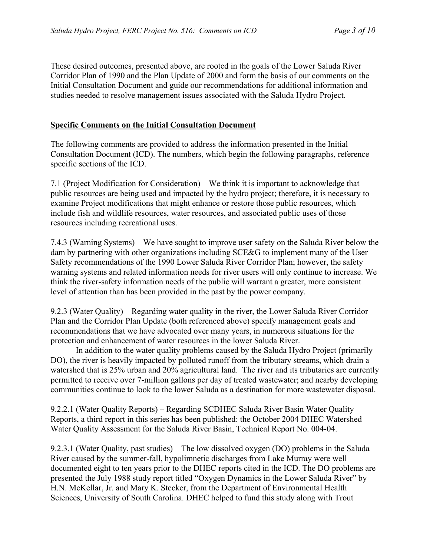These desired outcomes, presented above, are rooted in the goals of the Lower Saluda River Corridor Plan of 1990 and the Plan Update of 2000 and form the basis of our comments on the Initial Consultation Document and guide our recommendations for additional information and studies needed to resolve management issues associated with the Saluda Hydro Project.

## **Specific Comments on the Initial Consultation Document**

The following comments are provided to address the information presented in the Initial Consultation Document (ICD). The numbers, which begin the following paragraphs, reference specific sections of the ICD.

7.1 (Project Modification for Consideration) – We think it is important to acknowledge that public resources are being used and impacted by the hydro project; therefore, it is necessary to examine Project modifications that might enhance or restore those public resources, which include fish and wildlife resources, water resources, and associated public uses of those resources including recreational uses.

7.4.3 (Warning Systems) – We have sought to improve user safety on the Saluda River below the dam by partnering with other organizations including SCE&G to implement many of the User Safety recommendations of the 1990 Lower Saluda River Corridor Plan; however, the safety warning systems and related information needs for river users will only continue to increase. We think the river-safety information needs of the public will warrant a greater, more consistent level of attention than has been provided in the past by the power company.

9.2.3 (Water Quality) – Regarding water quality in the river, the Lower Saluda River Corridor Plan and the Corridor Plan Update (both referenced above) specify management goals and recommendations that we have advocated over many years, in numerous situations for the protection and enhancement of water resources in the lower Saluda River.

In addition to the water quality problems caused by the Saluda Hydro Project (primarily DO), the river is heavily impacted by polluted runoff from the tributary streams, which drain a watershed that is 25% urban and 20% agricultural land. The river and its tributaries are currently permitted to receive over 7-million gallons per day of treated wastewater; and nearby developing communities continue to look to the lower Saluda as a destination for more wastewater disposal.

9.2.2.1 (Water Quality Reports) – Regarding SCDHEC Saluda River Basin Water Quality Reports, a third report in this series has been published: the October 2004 DHEC Watershed Water Quality Assessment for the Saluda River Basin, Technical Report No. 004-04.

9.2.3.1 (Water Quality, past studies) – The low dissolved oxygen (DO) problems in the Saluda River caused by the summer-fall, hypolimnetic discharges from Lake Murray were well documented eight to ten years prior to the DHEC reports cited in the ICD. The DO problems are presented the July 1988 study report titled "Oxygen Dynamics in the Lower Saluda River" by H.N. McKellar, Jr. and Mary K. Stecker, from the Department of Environmental Health Sciences, University of South Carolina. DHEC helped to fund this study along with Trout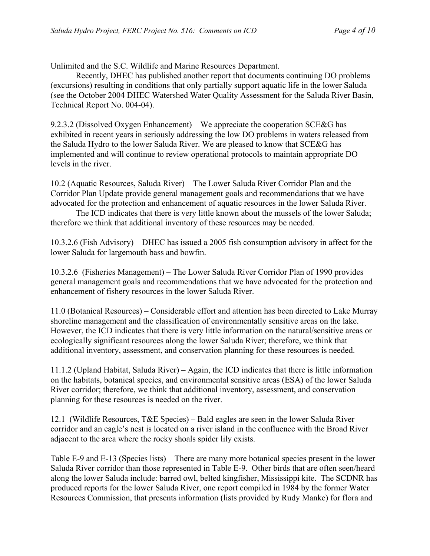Unlimited and the S.C. Wildlife and Marine Resources Department.

Recently, DHEC has published another report that documents continuing DO problems (excursions) resulting in conditions that only partially support aquatic life in the lower Saluda (see the October 2004 DHEC Watershed Water Quality Assessment for the Saluda River Basin, Technical Report No. 004-04).

9.2.3.2 (Dissolved Oxygen Enhancement) – We appreciate the cooperation SCE&G has exhibited in recent years in seriously addressing the low DO problems in waters released from the Saluda Hydro to the lower Saluda River. We are pleased to know that SCE&G has implemented and will continue to review operational protocols to maintain appropriate DO levels in the river.

10.2 (Aquatic Resources, Saluda River) – The Lower Saluda River Corridor Plan and the Corridor Plan Update provide general management goals and recommendations that we have advocated for the protection and enhancement of aquatic resources in the lower Saluda River.

 The ICD indicates that there is very little known about the mussels of the lower Saluda; therefore we think that additional inventory of these resources may be needed.

10.3.2.6 (Fish Advisory) – DHEC has issued a 2005 fish consumption advisory in affect for the lower Saluda for largemouth bass and bowfin.

10.3.2.6 (Fisheries Management) – The Lower Saluda River Corridor Plan of 1990 provides general management goals and recommendations that we have advocated for the protection and enhancement of fishery resources in the lower Saluda River.

11.0 (Botanical Resources) – Considerable effort and attention has been directed to Lake Murray shoreline management and the classification of environmentally sensitive areas on the lake. However, the ICD indicates that there is very little information on the natural/sensitive areas or ecologically significant resources along the lower Saluda River; therefore, we think that additional inventory, assessment, and conservation planning for these resources is needed.

11.1.2 (Upland Habitat, Saluda River) – Again, the ICD indicates that there is little information on the habitats, botanical species, and environmental sensitive areas (ESA) of the lower Saluda River corridor; therefore, we think that additional inventory, assessment, and conservation planning for these resources is needed on the river.

12.1 (Wildlife Resources, T&E Species) – Bald eagles are seen in the lower Saluda River corridor and an eagle's nest is located on a river island in the confluence with the Broad River adjacent to the area where the rocky shoals spider lily exists.

Table E-9 and E-13 (Species lists) – There are many more botanical species present in the lower Saluda River corridor than those represented in Table E-9. Other birds that are often seen/heard along the lower Saluda include: barred owl, belted kingfisher, Mississippi kite. The SCDNR has produced reports for the lower Saluda River, one report compiled in 1984 by the former Water Resources Commission, that presents information (lists provided by Rudy Manke) for flora and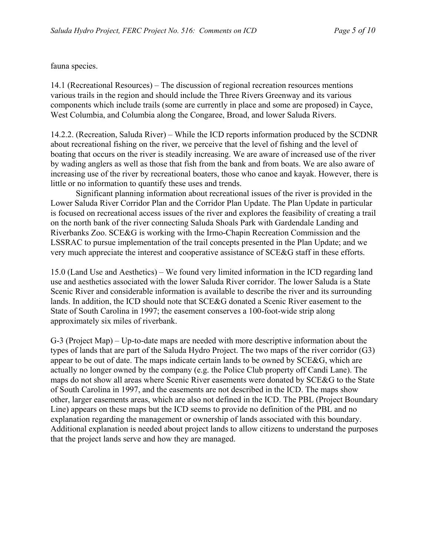fauna species.

14.1 (Recreational Resources) – The discussion of regional recreation resources mentions various trails in the region and should include the Three Rivers Greenway and its various components which include trails (some are currently in place and some are proposed) in Cayce, West Columbia, and Columbia along the Congaree, Broad, and lower Saluda Rivers.

14.2.2. (Recreation, Saluda River) – While the ICD reports information produced by the SCDNR about recreational fishing on the river, we perceive that the level of fishing and the level of boating that occurs on the river is steadily increasing. We are aware of increased use of the river by wading anglers as well as those that fish from the bank and from boats. We are also aware of increasing use of the river by recreational boaters, those who canoe and kayak. However, there is little or no information to quantify these uses and trends.

 Significant planning information about recreational issues of the river is provided in the Lower Saluda River Corridor Plan and the Corridor Plan Update. The Plan Update in particular is focused on recreational access issues of the river and explores the feasibility of creating a trail on the north bank of the river connecting Saluda Shoals Park with Gardendale Landing and Riverbanks Zoo. SCE&G is working with the Irmo-Chapin Recreation Commission and the LSSRAC to pursue implementation of the trail concepts presented in the Plan Update; and we very much appreciate the interest and cooperative assistance of SCE&G staff in these efforts.

15.0 (Land Use and Aesthetics) – We found very limited information in the ICD regarding land use and aesthetics associated with the lower Saluda River corridor. The lower Saluda is a State Scenic River and considerable information is available to describe the river and its surrounding lands. In addition, the ICD should note that SCE&G donated a Scenic River easement to the State of South Carolina in 1997; the easement conserves a 100-foot-wide strip along approximately six miles of riverbank.

G-3 (Project Map) – Up-to-date maps are needed with more descriptive information about the types of lands that are part of the Saluda Hydro Project. The two maps of the river corridor (G3) appear to be out of date. The maps indicate certain lands to be owned by SCE&G, which are actually no longer owned by the company (e.g. the Police Club property off Candi Lane). The maps do not show all areas where Scenic River easements were donated by SCE&G to the State of South Carolina in 1997, and the easements are not described in the ICD. The maps show other, larger easements areas, which are also not defined in the ICD. The PBL (Project Boundary Line) appears on these maps but the ICD seems to provide no definition of the PBL and no explanation regarding the management or ownership of lands associated with this boundary. Additional explanation is needed about project lands to allow citizens to understand the purposes that the project lands serve and how they are managed.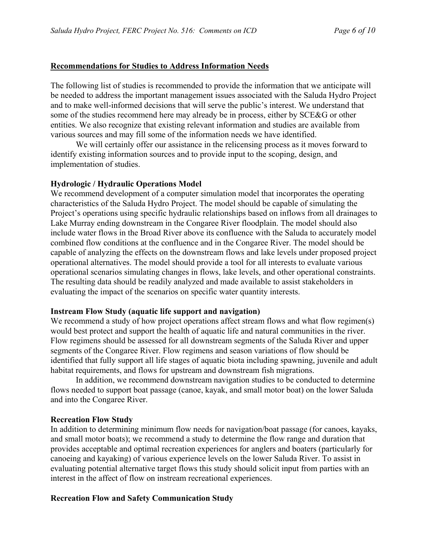# **Recommendations for Studies to Address Information Needs**

The following list of studies is recommended to provide the information that we anticipate will be needed to address the important management issues associated with the Saluda Hydro Project and to make well-informed decisions that will serve the public's interest. We understand that some of the studies recommend here may already be in process, either by SCE&G or other entities. We also recognize that existing relevant information and studies are available from various sources and may fill some of the information needs we have identified.

 We will certainly offer our assistance in the relicensing process as it moves forward to identify existing information sources and to provide input to the scoping, design, and implementation of studies.

## **Hydrologic / Hydraulic Operations Model**

We recommend development of a computer simulation model that incorporates the operating characteristics of the Saluda Hydro Project. The model should be capable of simulating the Project's operations using specific hydraulic relationships based on inflows from all drainages to Lake Murray ending downstream in the Congaree River floodplain. The model should also include water flows in the Broad River above its confluence with the Saluda to accurately model combined flow conditions at the confluence and in the Congaree River. The model should be capable of analyzing the effects on the downstream flows and lake levels under proposed project operational alternatives. The model should provide a tool for all interests to evaluate various operational scenarios simulating changes in flows, lake levels, and other operational constraints. The resulting data should be readily analyzed and made available to assist stakeholders in evaluating the impact of the scenarios on specific water quantity interests.

#### **Instream Flow Study (aquatic life support and navigation)**

We recommend a study of how project operations affect stream flows and what flow regimen(s) would best protect and support the health of aquatic life and natural communities in the river. Flow regimens should be assessed for all downstream segments of the Saluda River and upper segments of the Congaree River. Flow regimens and season variations of flow should be identified that fully support all life stages of aquatic biota including spawning, juvenile and adult habitat requirements, and flows for upstream and downstream fish migrations.

In addition, we recommend downstream navigation studies to be conducted to determine flows needed to support boat passage (canoe, kayak, and small motor boat) on the lower Saluda and into the Congaree River.

## **Recreation Flow Study**

In addition to determining minimum flow needs for navigation/boat passage (for canoes, kayaks, and small motor boats); we recommend a study to determine the flow range and duration that provides acceptable and optimal recreation experiences for anglers and boaters (particularly for canoeing and kayaking) of various experience levels on the lower Saluda River. To assist in evaluating potential alternative target flows this study should solicit input from parties with an interest in the affect of flow on instream recreational experiences.

## **Recreation Flow and Safety Communication Study**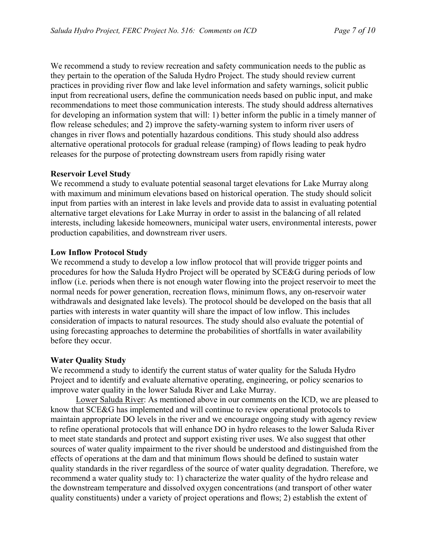We recommend a study to review recreation and safety communication needs to the public as they pertain to the operation of the Saluda Hydro Project. The study should review current practices in providing river flow and lake level information and safety warnings, solicit public input from recreational users, define the communication needs based on public input, and make recommendations to meet those communication interests. The study should address alternatives for developing an information system that will: 1) better inform the public in a timely manner of flow release schedules; and 2) improve the safety-warning system to inform river users of changes in river flows and potentially hazardous conditions. This study should also address alternative operational protocols for gradual release (ramping) of flows leading to peak hydro releases for the purpose of protecting downstream users from rapidly rising water

## **Reservoir Level Study**

We recommend a study to evaluate potential seasonal target elevations for Lake Murray along with maximum and minimum elevations based on historical operation. The study should solicit input from parties with an interest in lake levels and provide data to assist in evaluating potential alternative target elevations for Lake Murray in order to assist in the balancing of all related interests, including lakeside homeowners, municipal water users, environmental interests, power production capabilities, and downstream river users.

## **Low Inflow Protocol Study**

We recommend a study to develop a low inflow protocol that will provide trigger points and procedures for how the Saluda Hydro Project will be operated by SCE&G during periods of low inflow (i.e. periods when there is not enough water flowing into the project reservoir to meet the normal needs for power generation, recreation flows, minimum flows, any on-reservoir water withdrawals and designated lake levels). The protocol should be developed on the basis that all parties with interests in water quantity will share the impact of low inflow. This includes consideration of impacts to natural resources. The study should also evaluate the potential of using forecasting approaches to determine the probabilities of shortfalls in water availability before they occur.

#### **Water Quality Study**

We recommend a study to identify the current status of water quality for the Saluda Hydro Project and to identify and evaluate alternative operating, engineering, or policy scenarios to improve water quality in the lower Saluda River and Lake Murray.

Lower Saluda River: As mentioned above in our comments on the ICD, we are pleased to know that SCE&G has implemented and will continue to review operational protocols to maintain appropriate DO levels in the river and we encourage ongoing study with agency review to refine operational protocols that will enhance DO in hydro releases to the lower Saluda River to meet state standards and protect and support existing river uses. We also suggest that other sources of water quality impairment to the river should be understood and distinguished from the effects of operations at the dam and that minimum flows should be defined to sustain water quality standards in the river regardless of the source of water quality degradation. Therefore, we recommend a water quality study to: 1) characterize the water quality of the hydro release and the downstream temperature and dissolved oxygen concentrations (and transport of other water quality constituents) under a variety of project operations and flows; 2) establish the extent of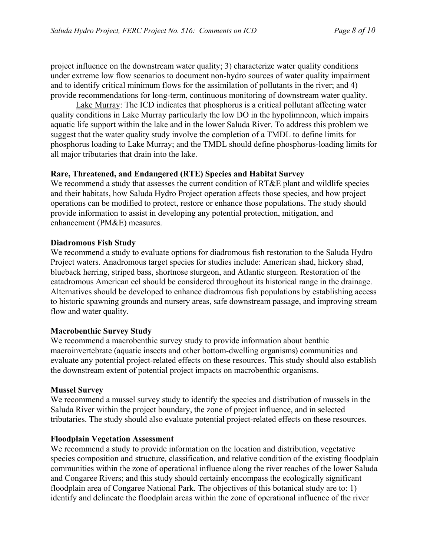project influence on the downstream water quality; 3) characterize water quality conditions under extreme low flow scenarios to document non-hydro sources of water quality impairment and to identify critical minimum flows for the assimilation of pollutants in the river; and 4) provide recommendations for long-term, continuous monitoring of downstream water quality.

Lake Murray: The ICD indicates that phosphorus is a critical pollutant affecting water quality conditions in Lake Murray particularly the low DO in the hypolimneon, which impairs aquatic life support within the lake and in the lower Saluda River. To address this problem we suggest that the water quality study involve the completion of a TMDL to define limits for phosphorus loading to Lake Murray; and the TMDL should define phosphorus-loading limits for all major tributaries that drain into the lake.

# **Rare, Threatened, and Endangered (RTE) Species and Habitat Survey**

We recommend a study that assesses the current condition of RT&E plant and wildlife species and their habitats, how Saluda Hydro Project operation affects those species, and how project operations can be modified to protect, restore or enhance those populations. The study should provide information to assist in developing any potential protection, mitigation, and enhancement (PM&E) measures.

## **Diadromous Fish Study**

We recommend a study to evaluate options for diadromous fish restoration to the Saluda Hydro Project waters. Anadromous target species for studies include: American shad, hickory shad, blueback herring, striped bass, shortnose sturgeon, and Atlantic sturgeon. Restoration of the catadromous American eel should be considered throughout its historical range in the drainage. Alternatives should be developed to enhance diadromous fish populations by establishing access to historic spawning grounds and nursery areas, safe downstream passage, and improving stream flow and water quality.

#### **Macrobenthic Survey Study**

We recommend a macrobenthic survey study to provide information about benthic macroinvertebrate (aquatic insects and other bottom-dwelling organisms) communities and evaluate any potential project-related effects on these resources. This study should also establish the downstream extent of potential project impacts on macrobenthic organisms.

#### **Mussel Survey**

We recommend a mussel survey study to identify the species and distribution of mussels in the Saluda River within the project boundary, the zone of project influence, and in selected tributaries. The study should also evaluate potential project-related effects on these resources.

#### **Floodplain Vegetation Assessment**

We recommend a study to provide information on the location and distribution, vegetative species composition and structure, classification, and relative condition of the existing floodplain communities within the zone of operational influence along the river reaches of the lower Saluda and Congaree Rivers; and this study should certainly encompass the ecologically significant floodplain area of Congaree National Park. The objectives of this botanical study are to: 1) identify and delineate the floodplain areas within the zone of operational influence of the river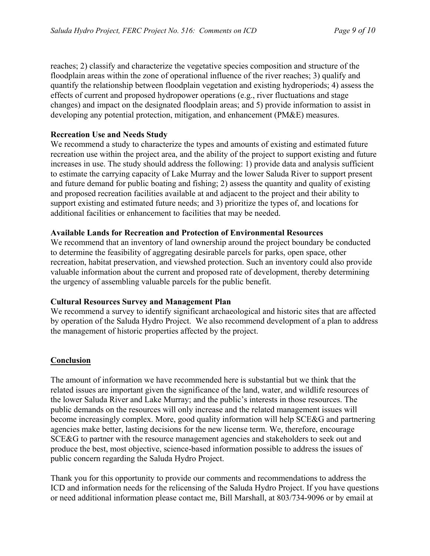reaches; 2) classify and characterize the vegetative species composition and structure of the floodplain areas within the zone of operational influence of the river reaches; 3) qualify and quantify the relationship between floodplain vegetation and existing hydroperiods; 4) assess the effects of current and proposed hydropower operations (e.g., river fluctuations and stage changes) and impact on the designated floodplain areas; and 5) provide information to assist in developing any potential protection, mitigation, and enhancement (PM&E) measures.

# **Recreation Use and Needs Study**

We recommend a study to characterize the types and amounts of existing and estimated future recreation use within the project area, and the ability of the project to support existing and future increases in use. The study should address the following: 1) provide data and analysis sufficient to estimate the carrying capacity of Lake Murray and the lower Saluda River to support present and future demand for public boating and fishing; 2) assess the quantity and quality of existing and proposed recreation facilities available at and adjacent to the project and their ability to support existing and estimated future needs; and 3) prioritize the types of, and locations for additional facilities or enhancement to facilities that may be needed.

## **Available Lands for Recreation and Protection of Environmental Resources**

We recommend that an inventory of land ownership around the project boundary be conducted to determine the feasibility of aggregating desirable parcels for parks, open space, other recreation, habitat preservation, and viewshed protection. Such an inventory could also provide valuable information about the current and proposed rate of development, thereby determining the urgency of assembling valuable parcels for the public benefit.

# **Cultural Resources Survey and Management Plan**

We recommend a survey to identify significant archaeological and historic sites that are affected by operation of the Saluda Hydro Project. We also recommend development of a plan to address the management of historic properties affected by the project.

# **Conclusion**

The amount of information we have recommended here is substantial but we think that the related issues are important given the significance of the land, water, and wildlife resources of the lower Saluda River and Lake Murray; and the public's interests in those resources. The public demands on the resources will only increase and the related management issues will become increasingly complex. More, good quality information will help SCE&G and partnering agencies make better, lasting decisions for the new license term. We, therefore, encourage SCE&G to partner with the resource management agencies and stakeholders to seek out and produce the best, most objective, science-based information possible to address the issues of public concern regarding the Saluda Hydro Project.

Thank you for this opportunity to provide our comments and recommendations to address the ICD and information needs for the relicensing of the Saluda Hydro Project. If you have questions or need additional information please contact me, Bill Marshall, at 803/734-9096 or by email at